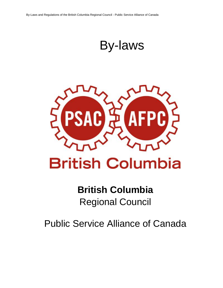By-laws



# **British Columbia**

# **British Columbia** Regional Council

Public Service Alliance of Canada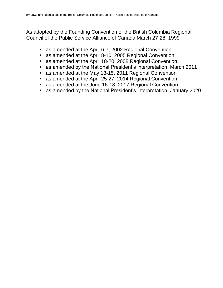As adopted by the Founding Convention of the British Columbia Regional Council of the Public Service Alliance of Canada March 27-28, 1999

- as amended at the April 6-7, 2002 Regional Convention
- as amended at the April 8-10, 2005 Regional Convention
- as amended at the April 18-20, 2008 Regional Convention
- as amended by the National President's interpretation, March 2011
- as amended at the May 13-15, 2011 Regional Convention
- as amended at the April 25-27, 2014 Regional Convention
- as amended at the June 16-18, 2017 Regional Convention
- as amended by the National President's interpretation, January 2020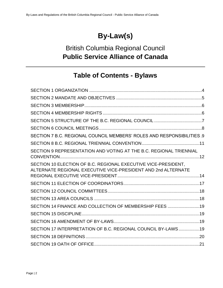# **By-Law(s)**

# British Columbia Regional Council **Public Service Alliance of Canada**

# **Table of Contents - Bylaws**

| SECTION 7 B.C. REGIONAL COUNCIL MEMBERS' ROLES AND RESPONSIBILITIES.9                                                           |  |
|---------------------------------------------------------------------------------------------------------------------------------|--|
|                                                                                                                                 |  |
| SECTION 9 REPRESENTATION AND VOTING AT THE B.C. REGIONAL TRIENNIAL                                                              |  |
| SECTION 10 ELECTION OF B.C. REGIONAL EXECUTIVE VICE-PRESIDENT.<br>ALTERNATE REGIONAL EXECUTIVE VICE-PRESIDENT AND 2nd ALTERNATE |  |
|                                                                                                                                 |  |
|                                                                                                                                 |  |
|                                                                                                                                 |  |
| SECTION 14 FINANCE AND COLLECTION OF MEMBERSHIP FEES 19                                                                         |  |
|                                                                                                                                 |  |
|                                                                                                                                 |  |
| SECTION 17 INTERPRETATION OF B.C. REGIONAL COUNCIL BY-LAWS19                                                                    |  |
|                                                                                                                                 |  |
|                                                                                                                                 |  |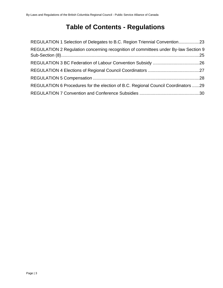# **Table of Contents - Regulations**

| REGULATION 1 Selection of Delegates to B.C. Region Triennial Convention23           |  |
|-------------------------------------------------------------------------------------|--|
| REGULATION 2 Regulation concerning recognition of committees under By-law Section 9 |  |
|                                                                                     |  |
|                                                                                     |  |
|                                                                                     |  |
| REGULATION 6 Procedures for the election of B.C. Regional Council Coordinators 29   |  |
|                                                                                     |  |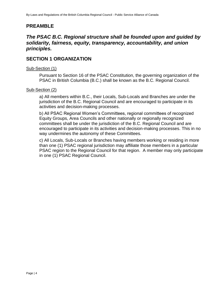# **PREAMBLE**

# *The PSAC B.C. Regional structure shall be founded upon and guided by solidarity, fairness, equity, transparency, accountability, and union principles.*

# <span id="page-4-0"></span>**SECTION 1 ORGANIZATION**

#### Sub-Section (1)

Pursuant to Section 16 of the PSAC Constitution, the governing organization of the PSAC in British Columbia (B.C.) shall be known as the B.C. Regional Council.

#### Sub-Section (2)

a) All members within B.C., their Locals, Sub-Locals and Branches are under the jurisdiction of the B.C. Regional Council and are encouraged to participate in its activities and decision-making processes.

b) All PSAC Regional Women's Committees, regional committees of recognized Equity Groups, Area Councils and other nationally or regionally recognized committees shall be under the jurisdiction of the B.C. Regional Council and are encouraged to participate in its activities and decision-making processes. This in no way undermines the autonomy of these Committees.

c) All Locals, Sub-Locals or Branches having members working or residing in more than one (1) PSAC regional jurisdiction may affiliate those members in a particular PSAC region to the Regional Council for that region. A member may only participate in one (1) PSAC Regional Council.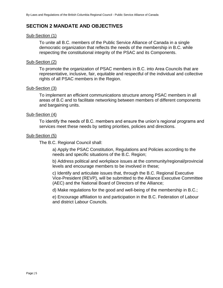# <span id="page-5-0"></span>**SECTION 2 MANDATE AND OBJECTIVES**

#### Sub-Section (1)

To unite all B.C. members of the Public Service Alliance of Canada in a single democratic organization that reflects the needs of the membership in B.C. while respecting the constitutional integrity of the PSAC and its Components.

#### Sub-Section (2)

To promote the organization of PSAC members in B.C. into Area Councils that are representative, inclusive, fair, equitable and respectful of the individual and collective rights of all PSAC members in the Region.

#### Sub-Section (3)

To implement an efficient communications structure among PSAC members in all areas of B.C and to facilitate networking between members of different components and bargaining units.

#### Sub-Section (4)

To identify the needs of B.C. members and ensure the union's regional programs and services meet these needs by setting priorities, policies and directions.

#### Sub-Section (5)

The B.C. Regional Council shall:

a) Apply the PSAC Constitution, Regulations and Policies according to the needs and specific situations of the B.C. Region;

b) Address political and workplace issues at the community/regional/provincial levels and encourage members to be involved in these;

c) Identify and articulate issues that, through the B.C. Regional Executive Vice-President (REVP), will be submitted to the Alliance Executive Committee (AEC) and the National Board of Directors of the Alliance;

d) Make regulations for the good and well-being of the membership in B.C.;

e) Encourage affiliation to and participation in the B.C. Federation of Labour and district Labour Councils.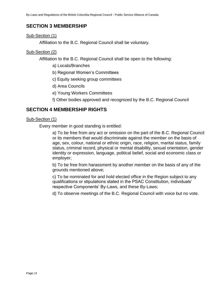# <span id="page-6-0"></span>**SECTION 3 MEMBERSHIP**

#### Sub-Section (1)

Affiliation to the B.C. Regional Council shall be voluntary.

#### Sub-Section (2)

Affiliation to the B.C. Regional Council shall be open to the following:

- a) Locals/Branches
- b) Regional Women's Committees
- c) Equity seeking group committees
- d) Area Councils
- e) Young Workers Committees

f) Other bodies approved and recognized by the B.C. Regional Council

# <span id="page-6-1"></span>**SECTION 4 MEMBERSHIP RIGHTS**

#### Sub-Section (1)

Every member in good standing is entitled:

a) To be free from any act or omission on the part of the B.C. Regional Council or its members that would discriminate against the member on the basis of age, sex, colour, national or ethnic origin, race, religion, marital status, family status, criminal record, physical or mental disability, sexual orientation, gender identity or expression, language, political belief, social and economic class or employer;

b) To be free from harassment by another member on the basis of any of the grounds mentioned above;

c) To be nominated for and hold elected office in the Region subject to any qualifications or stipulations stated in the PSAC Constitution, individuals' respective Components' By-Laws, and these By-Laws;

d) To observe meetings of the B.C. Regional Council with voice but no vote.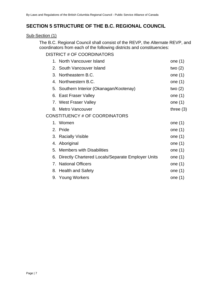# <span id="page-7-0"></span>**SECTION 5 STRUCTURE OF THE B.C. REGIONAL COUNCIL**

#### Sub-Section (1)

The B.C. Regional Council shall consist of the REVP, the Alternate REVP, and coordinators from each of the following districts and constituencies:

# DISTRICT # OF COORDINATORS

| 1. | North Vancouver Island                            | one (1)     |
|----|---------------------------------------------------|-------------|
|    | 2. South Vancouver Island                         | two $(2)$   |
| 3. | Northeastern B.C.                                 | one $(1)$   |
| 4. | Northwestern B.C.                                 | one $(1)$   |
|    | 5. Southern Interior (Okanagan/Kootenay)          | two $(2)$   |
|    | 6. East Fraser Valley                             | one $(1)$   |
|    | 7. West Fraser Valley                             | one $(1)$   |
| 8. | Metro Vancouver                                   | three $(3)$ |
|    | CONSTITUENCY # OF COORDINATORS                    |             |
|    | 1. Women                                          | one $(1)$   |
|    | 2. Pride                                          | one $(1)$   |
|    | 3. Racially Visible                               | one $(1)$   |
|    | 4. Aboriginal                                     | one $(1)$   |
| 5. | <b>Members with Disabilities</b>                  | one $(1)$   |
| 6. | Directly Chartered Locals/Separate Employer Units | one $(1)$   |
| 7. | <b>National Officers</b>                          | one $(1)$   |
|    | 8. Health and Safety                              | one $(1)$   |
|    | 9. Young Workers                                  | one (1)     |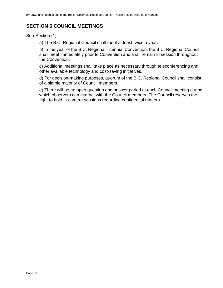# <span id="page-8-0"></span>**SECTION 6 COUNCIL MEETINGS**

#### Sub-Section (1)

a) The B.C. Regional Council shall meet at least twice a year.

b) In the year of the B.C. Regional Triennial Convention, the B.C. Regional Council shall meet immediately prior to Convention and shall remain in session throughout the Convention.

c) Additional meetings shall take place as necessary through teleconferencing and other available technology and cost-saving initiatives.

d) For decision-making purposes, quorum of the B.C. Regional Council shall consist of a simple majority of Council members.

e) There will be an open question and answer period at each Council meeting during which observers can interact with the Council members. The Council reserves the right to hold in-camera sessions regarding confidential matters.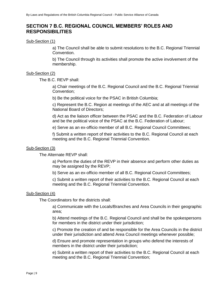# <span id="page-9-0"></span>**SECTION 7 B.C. REGIONAL COUNCIL MEMBERS' ROLES AND RESPONSIBILITIES**

Sub-Section (1)

a) The Council shall be able to submit resolutions to the B.C. Regional Triennial Convention.

b) The Council through its activities shall promote the active involvement of the membership.

#### Sub-Section (2)

The B.C. REVP shall:

a) Chair meetings of the B.C. Regional Council and the B.C. Regional Triennial Convention;

b) Be the political voice for the PSAC in British Columbia;

c) Represent the B.C. Region at meetings of the AEC and at all meetings of the National Board of Directors;

d) Act as the liaison officer between the PSAC and the B.C. Federation of Labour and be the political voice of the PSAC at the B.C. Federation of Labour;

e) Serve as an ex-officio member of all B.C. Regional Council Committees;

f) Submit a written report of their activities to the B.C. Regional Council at each meeting and the B.C. Regional Triennial Convention.

#### Sub-Section (3)

The Alternate REVP shall:

a) Perform the duties of the REVP in their absence and perform other duties as may be assigned by the REVP;

b) Serve as an ex-officio member of all B.C. Regional Council Committees;

c) Submit a written report of their activities to the B.C. Regional Council at each meeting and the B.C. Regional Triennial Convention.

#### Sub-Section (4)

The Coordinators for the districts shall:

a) Communicate with the Locals/Branches and Area Councils in their geographic area;

b) Attend meetings of the B.C. Regional Council and shall be the spokespersons for members in the district under their jurisdiction;

c) Promote the creation of and be responsible for the Area Councils in the district under their jurisdiction and attend Area Council meetings whenever possible;

d) Ensure and promote representation in groups who defend the interests of members in the district under their jurisdiction;

e) Submit a written report of their activities to the B.C. Regional Council at each meeting and the B.C. Regional Triennial Convention;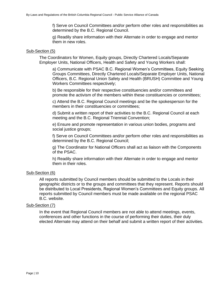f) Serve on Council Committees and/or perform other roles and responsibilities as determined by the B.C. Regional Council.

g) Readily share information with their Alternate in order to engage and mentor them in new roles.

#### Sub-Section (5)

The Coordinators for Women, Equity groups, Directly Chartered Locals/Separate Employer Units, National Officers, Health and Safety and Young Workers shall:

a) Communicate with PSAC B.C. Regional Women's Committees, Equity Seeking Groups Committees, Directly Chartered Locals/Separate Employer Units, National Officers, B.C. Regional Union Safety and Health (BRUSH) Committee and Young Workers Committees respectively;

b) Be responsible for their respective constituencies and/or committees and promote the activism of the members within these constituencies or committees;

c) Attend the B.C. Regional Council meetings and be the spokesperson for the members in their constituencies or committees;

d) Submit a written report of their activities to the B.C. Regional Council at each meeting and the B.C. Regional Triennial Convention;

e) Ensure and promote representation in various union bodies, programs and social justice groups;

f) Serve on Council Committees and/or perform other roles and responsibilities as determined by the B.C. Regional Council;

g) The Coordinator for National Officers shall act as liaison with the Components of the PSAC.

h) Readily share information with their Alternate in order to engage and mentor them in their roles.

#### Sub-Section (6)

All reports submitted by Council members should be submitted to the Locals in their geographic districts or to the groups and committees that they represent. Reports should be distributed to Local Presidents, Regional Women's Committees and Equity groups. All reports submitted by Council members must be made available on the regional PSAC B.C. website.

#### Sub-Section (7)

In the event that Regional Council members are not able to attend meetings, events, conferences and other functions in the course of performing their duties, their duly elected Alternate may attend on their behalf and submit a written report of their activities.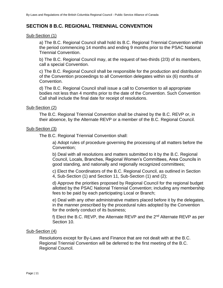# <span id="page-11-0"></span>**SECTION 8 B.C. REGIONAL TRIENNIAL CONVENTION**

#### Sub-Section (1)

a) The B.C. Regional Council shall hold its B.C. Regional Triennial Convention within the period commencing 14 months and ending 9 months prior to the PSAC National Triennial Convention.

b) The B.C. Regional Council may, at the request of two-thirds (2/3) of its members, call a special Convention.

c) The B.C. Regional Council shall be responsible for the production and distribution of the Convention proceedings to all Convention delegates within six (6) months of Convention.

d) The B.C. Regional Council shall issue a call to Convention to all appropriate bodies not less than 4 months prior to the date of the Convention. Such Convention Call shall include the final date for receipt of resolutions.

#### Sub-Section (2)

The B.C. Regional Triennial Convention shall be chaired by the B.C. REVP or, in their absence, by the Alternate REVP or a member of the B.C. Regional Council.

#### Sub-Section (3)

The B.C. Regional Triennial Convention shall:

a) Adopt rules of procedure governing the processing of all matters before the Convention;

b) Deal with all resolutions and matters submitted to it by the B.C. Regional Council, Locals, Branches, Regional Women's Committees, Area Councils in good standing, and nationally and regionally recognized committees;

c) Elect the Coordinators of the B.C. Regional Council, as outlined in Section 4, Sub-Section (1) and Section 11, Sub-Section (1) and (2);

d) Approve the priorities proposed by Regional Council for the regional budget allotted by the PSAC National Triennial Convention; including any membership fees to be paid by each participating Local or Branch;

e) Deal with any other administrative matters placed before it by the delegates, in the manner prescribed by the procedural rules adopted by the Convention for the orderly conduct of its business;

f) Elect the B.C. REVP, the Alternate REVP and the  $2^{nd}$  Alternate REVP as per Section 10.

#### Sub-Section (4)

Resolutions except for By-Laws and Finance that are not dealt with at the B.C. Regional Triennial Convention will be deferred to the first meeting of the B.C. Regional Council.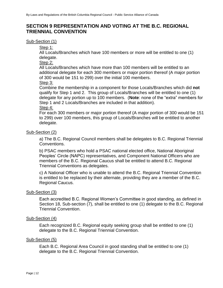# <span id="page-12-0"></span>**SECTION 9 REPRESENTATION AND VOTING AT THE B.C. REGIONAL TRIENNIAL CONVENTION**

#### Sub-Section (1)

Step 1:

All Locals/Branches which have 100 members or more will be entitled to one (1) delegate.

Step 2:

All Locals/Branches which have more than 100 members will be entitled to an additional delegate for each 300 members or major portion thereof (A major portion of 300 would be 151 to 299) over the initial 100 members.

Step 3:

Combine the membership in a component for those Locals/Branches which did **not** qualify for Step 1 and 2. This group of Locals/Branches will be entitled to one (1) delegate for any portion up to 100 members. (**Note**: none of the "extra" members for Step 1 and 2 Locals/Branches are included in that addition).

#### Step 4:

For each 300 members or major portion thereof (A major portion of 300 would be 151 to 299) over 100 members, this group of Locals/Branches will be entitled to another delegate.

#### Sub-Section (2)

a) The B.C. Regional Council members shall be delegates to B.C. Regional Triennial Conventions.

b) PSAC members who hold a PSAC national elected office, National Aboriginal Peoples' Circle (NAPC) representatives, and Component National Officers who are members of the B.C. Regional Caucus shall be entitled to attend B.C. Regional Triennial Conventions as delegates.

c) A National Officer who is unable to attend the B.C. Regional Triennial Convention is entitled to be replaced by their alternate, providing they are a member of the B.C. Regional Caucus.

#### Sub-Section (3)

Each accredited B.C. Regional Women's Committee in good standing, as defined in Section 18, Sub-section (7), shall be entitled to one (1) delegate to the B.C. Regional Triennial Convention.

#### Sub-Section (4)

Each recognized B.C. Regional equity seeking group shall be entitled to one (1) delegate to the B.C. Regional Triennial Convention.

#### Sub-Section (5)

Each B.C. Regional Area Council in good standing shall be entitled to one (1) delegate to the B.C. Regional Triennial Convention.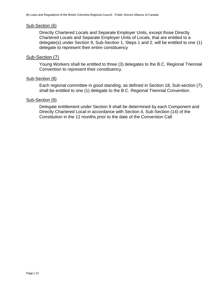#### Sub-Section (6)

Directly Chartered Locals and Separate Employer Units, except those Directly Chartered Locals and Separate Employer Units of Locals, that are entitled to a delegate(s) under Section 9, Sub-Section 1, Steps 1 and 2, will be entitled to one (1) delegate to represent their entire constituency

#### Sub-Section (7)

Young Workers shall be entitled to three (3) delegates to the B.C. Regional Triennial Convention to represent their constituency.

#### Sub-Section (8)

Each regional committee in good standing, as defined in Section 18, Sub-section (7), shall be entitled to one (1) delegate to the B.C. Regional Triennial Convention.

#### Sub-Section (9)

Delegate entitlement under Section 9 shall be determined by each Component and Directly Chartered Local in accordance with Section 4, Sub-Section (14) of the Constitution in the 12 months prior to the date of the Convention Call.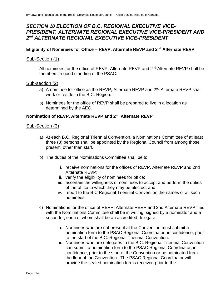# <span id="page-14-0"></span>*SECTION 10 ELECTION OF B.C. REGIONAL EXECUTIVE VICE-PRESIDENT, ALTERNATE REGIONAL EXECUTIVE VICE-PRESIDENT AND 2 nd ALTERNATE REGIONAL EXECUTIVE VICE-PRESIDENT*

#### **Eligibility of Nominees for Office – REVP, Alternate REVP and 2 nd Alternate REVP**

#### Sub-Section (1)

All nominees for the office of REVP, Alternate REVP and 2<sup>nd</sup> Alternate REVP shall be members in good standing of the PSAC.

#### Sub-section (2)

- a) A nominee for office as the REVP, Alternate REVP and  $2^{nd}$  Alternate REVP shall work or reside in the B.C. Region.
- b) Nominees for the office of REVP shall be prepared to live in a location as determined by the AEC.

#### **Nomination of REVP, Alternate REVP and 2nd Alternate REVP**

#### Sub-Section (3)

- a) At each B.C. Regional Triennial Convention, a Nominations Committee of at least three (3) persons shall be appointed by the Regional Council from among those present, other than staff.
- b) The duties of the Nominations Committee shall be to:
	- i. receive nominations for the offices of REVP, Alternate REVP and 2nd Alternate REVP;
	- ii. verify the eligibility of nominees for office;
	- iii. ascertain the willingness of nominees to accept and perform the duties of the office to which they may be elected; and
	- iv. report to the B.C Regional Triennial Convention the names of all such nominees.
- c) Nominations for the office of REVP, Alternate REVP and 2nd Alternate REVP filed with the Nominations Committee shall be in writing, signed by a nominator and a seconder, each of whom shall be an accredited delegate.
	- i. Nominees who are not present at the Convention must submit a nomination form to the PSAC Regional Coordinator, in confidence, prior to the start of the B.C. Regional Triennial Convention.
	- ii. Nominees who are delegates to the B.C. Regional Triennial Convention can submit a nomination form to the PSAC Regional Coordinator, in confidence, prior to the start of the Convention or be nominated from the floor of the Convention. The PSAC Regional Coordinator will provide the sealed nomination forms received prior to the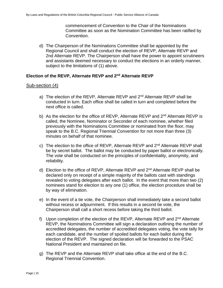commencement of Convention to the Chair of the Nominations Committee as soon as the Nomination Committee has been ratified by Convention.

d) The Chairperson of the Nominations Committee shall be appointed by the Regional Council and shall conduct the election of REVP, Alternate REVP and 2nd Alternate REVP. The Chairperson shall have the power to appoint scrutineers and assistants deemed necessary to conduct the elections in an orderly manner, subject to the limitations of (1) above.

#### **Election of the REVP, Alternate REVP and 2nd Alternate REVP**

#### Sub-section (4)

- a) The election of the REVP, Alternate REVP and 2<sup>nd</sup> Alternate REVP shall be conducted in turn. Each office shall be called in turn and completed before the next office is called.
- b) As the election for the office of REVP, Alternate REVP and 2<sup>nd</sup> Alternate REVP is called, the Nominee, Nominator or Seconder of each nominee, whether filed previously with the Nominations Committee or nominated from the floor, may speak to the B.C. Regional Triennial Convention for not more than three (3) minutes on behalf of that nominee.
- c) The election to the office of REVP, Alternate REVP and 2<sup>nd</sup> Alternate REVP shall be by secret ballot. The ballot may be conducted by paper ballot or electronically. The vote shall be conducted on the principles of confidentiality, anonymity, and reliability.
- d) Election to the office of REVP, Alternate REVP and 2<sup>nd</sup> Alternate REVP shall be declared only on receipt of a simple majority of the ballots cast with standings revealed to voting delegates after each ballot. In the event that more than two (2) nominees stand for election to any one (1) office, the election procedure shall be by way of elimination.
- e) In the event of a tie vote, the Chairperson shall immediately take a second ballot without recess or adjournment. If this results in a second tie vote, the Chairperson shall call a short recess before taking the third ballot.
- f) Upon completion of the election of the REVP, Alternate REVP and  $2<sup>nd</sup>$  Alternate REVP, the Nominations Committee will sign a declaration outlining the number of accredited delegates, the number of accredited delegates voting, the vote tally for each candidate, and the number of spoiled ballots for each ballot during the election of the REVP. The signed declaration will be forwarded to the PSAC National President and maintained on file.
- g) The REVP and the Alternate REVP shall take office at the end of the B.C. Regional Triennial Convention.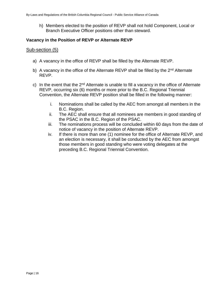h) Members elected to the position of REVP shall not hold Component, Local or Branch Executive Officer positions other than steward.

#### **Vacancy in the Position of REVP or Alternate REVP**

#### Sub-section (5)

- a) A vacancy in the office of REVP shall be filled by the Alternate REVP.
- b) A vacancy in the office of the Alternate REVP shall be filled by the  $2^{nd}$  Alternate REVP.
- c) In the event that the  $2<sup>nd</sup>$  Alternate is unable to fill a vacancy in the office of Alternate REVP, occurring six (6) months or more prior to the B.C. Regional Triennial Convention, the Alternate REVP position shall be filled in the following manner:
	- i. Nominations shall be called by the AEC from amongst all members in the B.C. Region.
	- ii. The AEC shall ensure that all nominees are members in good standing of the PSAC in the B.C. Region of the PSAC.
	- iii. The nominations process will be concluded within 60 days from the date of notice of vacancy in the position of Alternate REVP.
	- iv. If there is more than one (1) nominee for the office of Alternate REVP, and an election is necessary, it shall be conducted by the AEC from amongst those members in good standing who were voting delegates at the preceding B.C. Regional Triennial Convention.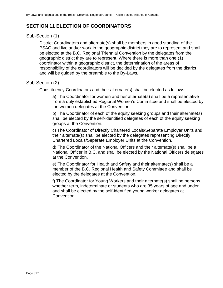# <span id="page-17-0"></span>**SECTION 11 ELECTION OF COORDINATORS**

#### Sub-Section (1)

District Coordinators and alternate(s) shall be members in good standing of the PSAC and live and/or work in the geographic district they are to represent and shall be elected at the B.C. Regional Triennial Convention by the delegates from the geographic district they are to represent. Where there is more than one (1) coordinator within a geographic district, the determination of the areas of responsibility of the coordinators will be decided by the delegates from the district and will be guided by the preamble to the By-Laws.

#### Sub-Section (2)

Constituency Coordinators and their alternate(s) shall be elected as follows:

a) The Coordinator for women and her alternate(s) shall be a representative from a duly established Regional Women's Committee and shall be elected by the women delegates at the Convention.

b) The Coordinator of each of the equity seeking groups and their alternate(s) shall be elected by the self-identified delegates of each of the equity seeking groups at the Convention.

c) The Coordinator of Directly Chartered Locals/Separate Employer Units and their alternate(s) shall be elected by the delegates representing Directly Chartered Locals/Separate Employer Units at the Convention.

d) The Coordinator of the National Officers and their alternate(s) shall be a National Officer in B.C. and shall be elected by the National Officers delegates at the Convention.

e) The Coordinator for Health and Safety and their alternate(s) shall be a member of the B.C. Regional Health and Safety Committee and shall be elected by the delegates at the Convention.

f) The Coordinator for Young Workers and their alternate(s) shall be persons, whether term, indeterminate or students who are 35 years of age and under and shall be elected by the self-identified young worker delegates at Convention.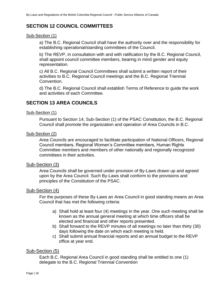# <span id="page-18-0"></span>**SECTION 12 COUNCIL COMMITTEES**

#### Sub-Section (1)

a) The B.C. Regional Council shall have the authority over and the responsibility for establishing operational/standing committees of the Council.

b) The REVP, in consultation with and with ratification by the B.C. Regional Council, shall appoint council committee members, bearing in mind gender and equity representation.

c) All B.C. Regional Council Committees shall submit a written report of their activities to B.C. Regional Council meetings and the B.C. Regional Triennial Convention.

d) The B.C. Regional Council shall establish Terms of Reference to guide the work and activities of each Committee.

# <span id="page-18-1"></span>**SECTION 13 AREA COUNCILS**

#### Sub-Section (1)

Pursuant to Section 14, Sub-Section (1) of the PSAC Constitution, the B.C. Regional Council shall promote the organization and operation of Area Councils in B.C.

#### Sub-Section (2)

Area Councils are encouraged to facilitate participation of National Officers, Regional Council members, Regional Women's Committee members, Human Rights Committee members and members of other nationally and regionally recognized committees in their activities.

#### Sub-Section (3)

Area Councils shall be governed under provision of By-Laws drawn up and agreed upon by the Area Council. Such By-Laws shall conform to the provisions and principles of the Constitution of the PSAC.

#### Sub-Section (4)

For the purposes of these By-Laws an Area Council in good standing means an Area Council that has met the following criteria:

- a) Shall hold at least four (4) meetings in the year. One such meeting shall be known as the annual general meeting at which time officers shall be elected and financial and other reports presented.
- b) Shall forward to the REVP minutes of all meetings no later than thirty (30) days following the date on which each meeting is held.
- c) Shall submit annual financial reports and an annual budget to the REVP office at year end.

#### Sub-Section (5)

Each B.C. Regional Area Council in good standing shall be entitled to one (1) delegate to the B.C. Regional Triennial Convention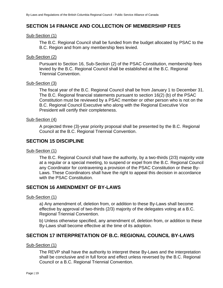# <span id="page-19-0"></span>**SECTION 14 FINANCE AND COLLECTION OF MEMBERSHIP FEES**

#### Sub-Section (1)

The B.C. Regional Council shall be funded from the budget allocated by PSAC to the B.C. Region and from any membership fees levied.

#### Sub-Section (2)

Pursuant to Section 16, Sub-Section (2) of the PSAC Constitution, membership fees levied by the B.C. Regional Council shall be established at the B.C. Regional Triennial Convention.

#### Sub-Section (3)

The fiscal year of the B.C. Regional Council shall be from January 1 to December 31. The B.C. Regional financial statements pursuant to section 16(2) (b) of the PSAC Constitution must be reviewed by a PSAC member or other person who is not on the B.C. Regional Council Executive who along with the Regional Executive Vice President will certify their completeness.

#### Sub-Section (4)

A projected three (3)-year priority proposal shall be presented by the B.C. Regional Council at the B.C. Regional Triennial Convention.

# <span id="page-19-1"></span>**SECTION 15 DISCIPLINE**

#### Sub-Section (1)

The B.C. Regional Council shall have the authority, by a two-thirds (2/3) majority vote at a regular or a special meeting, to suspend or expel from the B.C. Regional Council any Coordinator for contravening a provision of the PSAC Constitution or these By-Laws. These Coordinators shall have the right to appeal this decision in accordance with the PSAC Constitution.

# <span id="page-19-2"></span>**SECTION 16 AMENDMENT OF BY-LAWS**

#### Sub-Section (1)

a) Any amendment of, deletion from, or addition to these By-Laws shall become effective by approval of two-thirds (2/3) majority of the delegates voting at a B.C. Regional Triennial Convention.

b) Unless otherwise specified, any amendment of, deletion from, or addition to these By-Laws shall become effective at the time of its adoption.

# <span id="page-19-3"></span>**SECTION 17 INTERPRETATION OF B.C. REGIONAL COUNCIL BY-LAWS**

#### Sub-Section (1)

The REVP shall have the authority to interpret these By-Laws and the interpretation shall be conclusive and in full force and effect unless reversed by the B.C. Regional Council or a B.C. Regional Triennial Convention.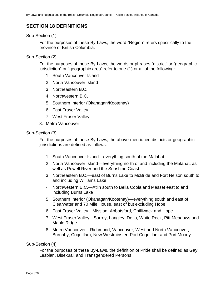# <span id="page-20-0"></span>**SECTION 18 DEFINITIONS**

#### Sub-Section (1)

For the purposes of these By-Laws, the word "Region" refers specifically to the province of British Columbia.

#### Sub-Section (2)

For the purposes of these By-Laws, the words or phrases "district" or "geographic jurisdiction" or "geographic area" refer to one (1) or all of the following:

- 1. South Vancouver Island
- 2. North Vancouver Island
- 3. Northeastern B.C.
- 4. Northwestern B.C.
- 5. Southern Interior (Okanagan/Kootenay)
- 6. East Fraser Valley
- 7. West Fraser Valley
- 8. Metro Vancouver

#### Sub-Section (3)

For the purposes of these By-Laws, the above-mentioned districts or geographic jurisdictions are defined as follows:

- 1. South Vancouver Island—everything south of the Malahat
- 2. North Vancouver Island—everything north of and including the Malahat, as well as Powell River and the Sunshine Coast
- 3. Northeastern B.C.—east of Burns Lake to McBride and Fort Nelson south to and including Williams Lake
- 4. Northwestern B.C.—Atlin south to Bella Coola and Masset east to and including Burns Lake
- 5. Southern Interior (Okanagan/Kootenay)—everything south and east of Clearwater and 70 Mile House, east of but excluding Hope
- 6. East Fraser Valley—Mission, Abbotsford, Chilliwack and Hope
- 7. West Fraser Valley—Surrey, Langley, Delta, White Rock, Pitt Meadows and Maple Ridge.
- 8. Metro Vancouver—Richmond, Vancouver, West and North Vancouver, Burnaby, Coquitlam, New Westminster, Port Coquitlam and Port Moody

#### Sub-Section (4)

For the purposes of these By-Laws, the definition of Pride shall be defined as Gay, Lesbian, Bisexual, and Transgendered Persons.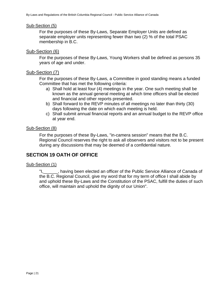#### Sub-Section (5)

For the purposes of these By-Laws, Separate Employer Units are defined as separate employer units representing fewer than two (2) % of the total PSAC membership in B.C.

#### Sub-Section (6)

For the purposes of these By-Laws, Young Workers shall be defined as persons 35 years of age and under.

#### Sub-Section (7)

For the purposes of these By-Laws, a Committee in good standing means a funded Committee that has met the following criteria:

- a) Shall hold at least four (4) meetings in the year. One such meeting shall be known as the annual general meeting at which time officers shall be elected and financial and other reports presented.
- b) Shall forward to the REVP minutes of all meetings no later than thirty (30) days following the date on which each meeting is held.
- c) Shall submit annual financial reports and an annual budget to the REVP office at year end.

#### Sub-Section (8)

For the purposes of these By-Laws, "in-camera session" means that the B.C. Regional Council reserves the right to ask all observers and visitors not to be present during any discussions that may be deemed of a confidential nature.

# <span id="page-21-0"></span>**SECTION 19 OATH OF OFFICE**

#### Sub-Section (1)

"I, Thaving been elected an officer of the Public Service Alliance of Canada of the B.C. Regional Council, give my word that for my term of office I shall abide by and uphold these By-Laws and the Constitution of the PSAC, fulfill the duties of such office, will maintain and uphold the dignity of our Union".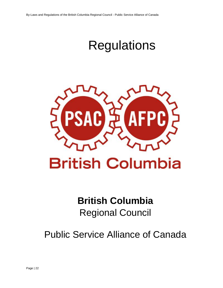# **Regulations**



# **British Columbia**

# Regional Council

Public Service Alliance of Canada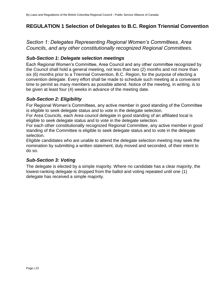# <span id="page-23-0"></span>**REGULATION 1 Selection of Delegates to B.C. Region Triennial Convention**

*Section 1: Delegates Representing Regional Women's Committees, Area Councils, and any other constitutionally recognized Regional Committees.*

# *Sub-Section 1: Delegate selection meetings*

Each Regional Women's Committee, Area Council and any other committee recognized by the Council shall hold a general meeting, not less than two (2) months and not more than six (6) months prior to a Triennial Convention, B.C. Region, for the purpose of electing a convention delegate. Every effort shall be made to schedule such meeting at a convenient time to permit as many members as possible attend. Notice of the meeting, in writing, is to be given at least four (4) weeks in advance of the meeting date.

# *Sub-Section 2: Eligibility*

For Regional Women's Committees, any active member in good standing of the Committee is eligible to seek delegate status and to vote in the delegate selection.

For Area Councils, each Area council delegate in good standing of an affiliated local is eligible to seek delegate status and to vote in the delegate selection.

For each other constitutionally recognized Regional Committee, any active member in good standing of the Committee is eligible to seek delegate status and to vote in the delegate selection.

Eligible candidates who are unable to attend the delegate selection meeting may seek the nomination by submitting a written statement, duly moved and seconded, of their intent to do so.

# *Sub-Section 3: Voting*

The delegate is elected by a simple majority. Where no candidate has a clear majority, the lowest-ranking delegate is dropped from the ballot and voting repeated until one (1) delegate has received a simple majority.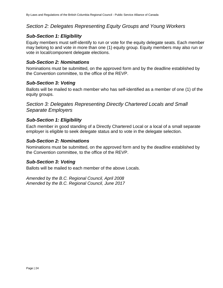# *Section 2: Delegates Representing Equity Groups and Young Workers*

# *Sub-Section 1: Eligibility*

Equity members must self-identify to run or vote for the equity delegate seats. Each member may belong to and vote in more than one (1) equity group. Equity members may also run or vote in local/component delegate elections.

# *Sub-Section 2: Nominations*

Nominations must be submitted, on the approved form and by the deadline established by the Convention committee, to the office of the REVP.

# *Sub-Section 3: Voting*

Ballots will be mailed to each member who has self-identified as a member of one (1) of the equity groups.

*Section 3: Delegates Representing Directly Chartered Locals and Small Separate Employers*

# *Sub-Section 1: Eligibility*

Each member in good standing of a Directly Chartered Local or a local of a small separate employer is eligible to seek delegate status and to vote in the delegate selection.

# *Sub-Section 2: Nominations*

Nominations must be submitted, on the approved form and by the deadline established by the Convention committee, to the office of the REVP.

# *Sub-Section 3: Voting*

Ballots will be mailed to each member of the above Locals.

*Amended by the B.C. Regional Council, April 2008 Amended by the B.C. Regional Council, June 2017*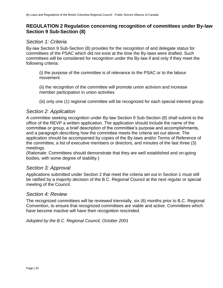# <span id="page-25-0"></span>**REGULATION 2 Regulation concerning recognition of committees under By-law Section 9 Sub-Section (8)**

# *Section 1: Criteria*

By-law Section 9 Sub-Section (8) provides for the recognition of and delegate status for committees of the PSAC which did not exist at the time the By-laws were drafted. Such committees will be considered for recognition under the By-law if and only if they meet the following criteria:

(i) the purpose of the committee is of relevance to the PSAC or to the labour movement

(ii) the recognition of the committee will promote union activism and increase member participation in union activities

(iii) only one (1) regional committee will be recognized for each special interest group.

# *Section 2: Application*

A committee seeking recognition under By-law Section 9 Sub-Section (8) shall submit to the office of the REVP a written application. The application should include the name of the committee or group, a brief description of the committee's purpose and accomplishments, and a paragraph describing how the committee meets the criteria set out above. The application should be accompanied by copies of the By-laws and/or Terms of Reference of the committee, a list of executive members or directors, and minutes of the last three (3) meetings.

(Rationale: Committees should demonstrate that they are well established and on-going bodies, with some degree of stability.)

# *Section 3: Approval*

Applications submitted under Section 2 that meet the criteria set out in Section 1 must still be ratified by a majority decision of the B.C. Regional Council at the next regular or special meeting of the Council.

# *Section 4: Review*

The recognized committees will be reviewed triennially, six (6) months prior to B.C. Regional Convention, to ensure that recognized committees are viable and active. Committees which have become inactive will have their recognition rescinded.

*Adopted by the B.C. Regional Council, October 2001*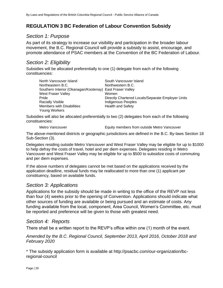# <span id="page-26-0"></span>**REGULATION 3 BC Federation of Labour Convention Subsidy**

# *Section 1: Purpose*

As part of its strategy to increase our visibility and participation in the broader labour movement, the B.C. Regional Council will provide a subsidy to assist, encourage, and promote attendance of PSAC members at the Convention of the BC Federation of Labour.

# *Section 2: Eligibility*

Subsidies will be allocated preferentially to one (1) delegate from each of the following constituencies:

| North Vancouver Island                                   | South Vancouver Island                            |
|----------------------------------------------------------|---------------------------------------------------|
| Northeastern B.C.                                        | Northwestern B.C.                                 |
| Southern Interior (Okanagan/Kootenay) East Fraser Valley |                                                   |
| West Fraser Valley                                       | Women                                             |
| Pride                                                    | Directly Chartered Locals/Separate Employer Units |
| <b>Racially Visible</b>                                  | Indigenous Peoples                                |
| <b>Members with Disabilities</b>                         | <b>Health and Safety</b>                          |
| Young Workers                                            |                                                   |

Subsidies will also be allocated preferentially to two (2) delegates from each of the following constituencies:

Metro Vancouver Equity members from outside Metro Vancouver

The above-mentioned districts or geographic jurisdictions are defined in the B.C. By-laws Section 18 Sub-Section (3).

Delegates residing outside Metro Vancouver and West Fraser Valley may be eligible for up to \$1000 to help defray the costs of travel, hotel and per diem expenses. Delegates residing in Metro Vancouver and West Fraser Valley may be eligible for up to \$500 to subsidize costs of commuting and per diem expenses.

If the above numbers of delegates cannot be met based on the applications received by the application deadline, residual funds may be reallocated to more than one (1) applicant per constituency, based on available funds.

# *Section 3: Applications*

Applications for the subsidy should be made in writing to the office of the REVP not less than four (4) weeks prior to the opening of Convention. Applications should indicate what other sources of funding are available or being pursued and an estimate of costs. Any funding available from the local, component, Area Council, Women's Committee, etc. must be reported and preference will be given to those with greatest need.

# *Section 4: Reports*

There shall be a written report to the REVP's office within one (1) month of the event.

*Amended by the B.C. Regional Council, September 2013, April 2016, October 2018 and February 2020*

\* The subsidy application form is available at http://psacbc.com/our-organization/bcregional-council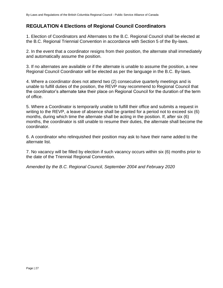# <span id="page-27-0"></span>**REGULATION 4 Elections of Regional Council Coordinators**

1. Election of Coordinators and Alternates to the B.C. Regional Council shall be elected at the B.C. Regional Triennial Convention in accordance with Section 5 of the By-laws.

2. In the event that a coordinator resigns from their position, the alternate shall immediately and automatically assume the position.

3. If no alternates are available or if the alternate is unable to assume the position, a new Regional Council Coordinator will be elected as per the language in the B.C. By-laws.

4. Where a coordinator does not attend two (2) consecutive quarterly meetings and is unable to fulfill duties of the position, the REVP may recommend to Regional Council that the coordinator's alternate take their place on Regional Council for the duration of the term of office.

5. Where a Coordinator is temporarily unable to fulfill their office and submits a request in writing to the REVP, a leave of absence shall be granted for a period not to exceed six (6) months, during which time the alternate shall be acting in the position. If, after six (6) months, the coordinator is still unable to resume their duties, the alternate shall become the coordinator.

6. A coordinator who relinquished their position may ask to have their name added to the alternate list.

7. No vacancy will be filled by election if such vacancy occurs within six (6) months prior to the date of the Triennial Regional Convention.

*Amended by the B.C. Regional Council, September 2004 and February 2020*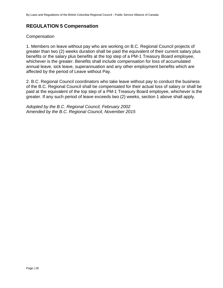# <span id="page-28-0"></span>**REGULATION 5 Compensation**

#### **Compensation**

1. Members on leave without pay who are working on B.C. Regional Council projects of greater than two (2) weeks duration shall be paid the equivalent of their current salary plus benefits or the salary plus benefits at the top step of a PM-1 Treasury Board employee, whichever is the greater. Benefits shall include compensation for loss of accumulated annual leave, sick leave, superannuation and any other employment benefits which are affected by the period of Leave without Pay.

2. B.C. Regional Council coordinators who take leave without pay to conduct the business of the B.C. Regional Council shall be compensated for their actual loss of salary or shall be paid at the equivalent of the top step of a PM-1 Treasury Board employee, whichever is the greater. If any such period of leave exceeds two (2) weeks, section 1 above shall apply.

*Adopted by the B.C. Regional Council, February 2002 Amended by the B.C. Regional Council, November 2015*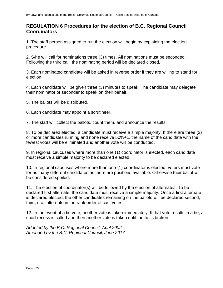# <span id="page-29-0"></span>**REGULATION 6 Procedures for the election of B.C. Regional Council Coordinators**

1. The staff person assigned to run the election will begin by explaining the election procedure.

2. S/he will call for nominations three (3) times. All nominations must be seconded. Following the third call, the nominating period will be declared closed.

3. Each nominated candidate will be asked in reverse order if they are willing to stand for election.

4. Each candidate will be given three (3) minutes to speak. The candidate may delegate their nominator or seconder to speak on their behalf.

5. The ballots will be distributed.

6. Each candidate may appoint a scrutineer.

7. The staff will collect the ballots, count them, and announce the results.

8. To be declared elected, a candidate must receive a simple majority. If there are three (3) or more candidates running and none receive 50%+1, the name of the candidate with the fewest votes will be eliminated and another vote will be conducted.

9. In regional caucuses where more than one (1) coordinator is elected, each candidate must receive a simple majority to be declared elected.

10. In regional caucuses where more than one (1) coordinator is elected, voters must vote for as many different candidates as there are positions available. Otherwise their ballot will be considered spoiled.

11. The election of coordinator(s) will be followed by the election of alternates. To be declared first alternate, the candidate must receive a simple majority. Once a first alternate is declared elected, the other candidates remaining on the ballots will be declared second, third, etc., alternate in the rank order of cast votes.

12. In the event of a tie vote, another vote is taken immediately. If that vote results in a tie, a short recess is called and then another vote is taken until the tie is broken.

*Adopted by the B.C. Regional Council, April 2002 Amended by the B.C. Regional Council, June 2017*